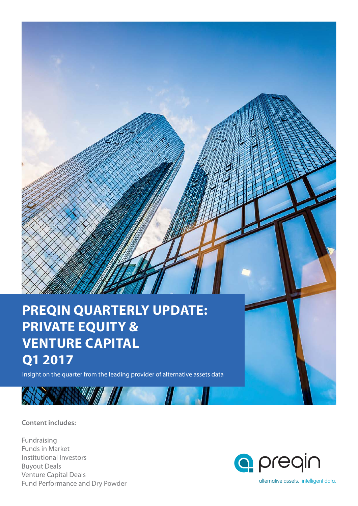## **PREQIN QUARTERLY UPDATE: PRIVATE EQUITY & VENTURE CAPITAL Q1 2017**

Insight on the quarter from the leading provider of alternative assets data

**Content includes:**

Fundraising Funds in Market Institutional Investors Buyout Deals Venture Capital Deals Fund Performance and Dry Powder

**CONTRACTOR** 

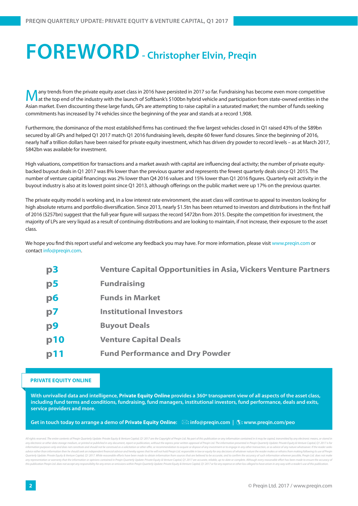## **FOREWORD - Christopher Elvin, Preqin**

any trends from the private equity asset class in 2016 have persisted in 2017 so far. Fundraising has become even more competitive at the top end of the industry with the launch of Softbank's \$100bn hybrid vehicle and participation from state-owned entities in the Asian market. Even discounting these large funds, GPs are attempting to raise capital in a saturated market; the number of funds seeking commitments has increased by 74 vehicles since the beginning of the year and stands at a record 1,908.

Furthermore, the dominance of the most established firms has continued: the five largest vehicles closed in Q1 raised 43% of the \$89bn secured by all GPs and helped Q1 2017 match Q1 2016 fundraising levels, despite 60 fewer fund closures. Since the beginning of 2016, nearly half a trillion dollars have been raised for private equity investment, which has driven dry powder to record levels – as at March 2017, \$842bn was available for investment.

High valuations, competition for transactions and a market awash with capital are influencing deal activity; the number of private equitybacked buyout deals in Q1 2017 was 8% lower than the previous quarter and represents the fewest quarterly deals since Q1 2015. The number of venture capital financings was 2% lower than Q4 2016 values and 15% lower than Q1 2016 figures. Quarterly exit activity in the buyout industry is also at its lowest point since Q1 2013, although offerings on the public market were up 17% on the previous quarter.

The private equity model is working and, in a low interest rate environment, the asset class will continue to appeal to investors looking for high absolute returns and portfolio diversification. Since 2013, nearly \$1.5tn has been returned to investors and distributions in the first half of 2016 (\$257bn) suggest that the full-year figure will surpass the record \$472bn from 2015. Despite the competition for investment, the majority of LPs are very liquid as a result of continuing distributions and are looking to maintain, if not increase, their exposure to the asset class.

We hope you find this report useful and welcome any feedback you may have. For more information, please visit www.preqin.com or contact info@preqin.com.

| p3             | <b>Venture Capital Opportunities in Asia, Vickers Venture Partners</b> |
|----------------|------------------------------------------------------------------------|
| p <sub>5</sub> | <b>Fundraising</b>                                                     |
| p6             | <b>Funds in Market</b>                                                 |
| p7             | <b>Institutional Investors</b>                                         |
| p <sub>9</sub> | <b>Buyout Deals</b>                                                    |
| p10            | <b>Venture Capital Deals</b>                                           |
| p11            | <b>Fund Performance and Dry Powder</b>                                 |

#### **PRIVATE EQUITY ONLINE**

**With unrivalled data and intelligence, Private Equity Online provides a 360º transparent view of all aspects of the asset class, including fund terms and conditions, fundraising, fund managers, institutional investors, fund performance, deals and exits, service providers and more.**

**Get in touch today to arrange a demo of Private Equity Online: : info@preqin.com | : www.preqin.com/peo**

All rights reserved. The entire contents of Pregin Quarterly Update: Private Equity & Venture Capital, Q1 2017 are the Copyright of Pregin Ltd. No part of this publication or any information contained in it may be copied, any electronic or other data storage medium, or printed or published in any document, report or publication, without the express prior written approval of Pregin Ltd. The information presented in Pregin Quarterly Update: P information purposes only and does not constitute and should not be construed as a solicitation or other offer, or recommendation to acquire or dispose of any investment or to engage in any other transaction, or as advice advice rather than information then he should seek an independent financial advisor and hereby agrees that he will not hold Pregin Ltd, responsible in law or equity for any decisions of whatever nature the reader makes or Quarterly Update: Private Equity & Venture Capital, Q1 2017. While reasonable efforts have been made to obtain information from sources that are believed to be accurate, and to confirm the accuracy of such information wher any representation or warranty that the information or opinions contained in Pregin Quarterly Update: Private Equity & Venture Capital, Q1 2017 are accurate, reliable, up-to-date or complete. Although every reasonable effo .<br>Ions within Preain Quarterly Update: Private Equity & Venture Capital, Q1 2017 or for any expense or other loss alleged to have arisen in any way with a reader's use of this publication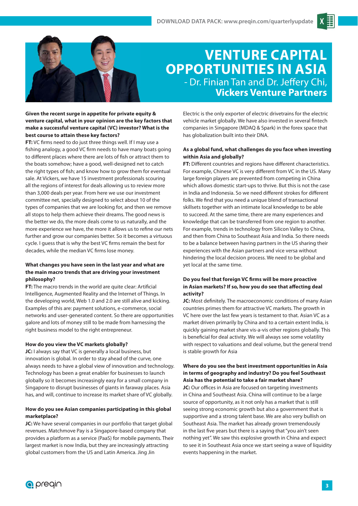

### **VENTURE CAPITAL OPPORTUNITIES IN ASIA** - Dr. Finian Tan and Dr. Jeffery Chi, **Vickers Venture Partners**

#### **Given the recent surge in appetite for private equity & venture capital, what in your opinion are the key factors that make a successful venture capital (VC) investor? What is the best course to attain these key factors?**

**FT:** VC firms need to do just three things well. If I may use a fishing analogy, a good VC firm needs to have many boats going to different places where there are lots of fish or attract them to the boats somehow; have a good, well-designed net to catch the right types of fish; and know how to grow them for eventual sale. At Vickers, we have 15 investment professionals scouring all the regions of interest for deals allowing us to review more than 3,000 deals per year. From here we use our investment committee net, specially designed to select about 10 of the types of companies that we are looking for, and then we remove all stops to help them achieve their dreams. The good news is the better we do, the more deals come to us naturally, and the more experience we have, the more it allows us to refine our nets further and grow our companies better. So it becomes a virtuous cycle. I guess that is why the best VC firms remain the best for decades, while the median VC firms lose money.

#### **What changes you have seen in the last year and what are the main macro trends that are driving your investment philosophy?**

**FT:** The macro trends in the world are quite clear: Artificial Intelligence, Augmented Reality and the Internet of Things. In the developing world, Web 1.0 and 2.0 are still alive and kicking. Examples of this are: payment solutions, e-commerce, social networks and user-generated content. So there are opportunities galore and lots of money still to be made from harnessing the right business model to the right entrepreneur.

#### **How do you view the VC markets globally?**

**JC:** I always say that VC is generally a local business, but innovation is global. In order to stay ahead of the curve, one always needs to have a global view of innovation and technology. Technology has been a great enabler for businesses to launch globally so it becomes increasingly easy for a small company in Singapore to disrupt businesses of giants in faraway places. Asia has, and will, continue to increase its market share of VC globally.

#### **How do you see Asian companies participating in this global marketplace?**

**JC:** We have several companies in our portfolio that target global revenues. Matchmove Pay is a Singapore-based company that provides a platform as a service (PaaS) for mobile payments. Their largest market is now India, but they are increasingly attracting global customers from the US and Latin America. Jing Jin

Electric is the only exporter of electric drivetrains for the electric vehicle market globally. We have also invested in several fintech companies in Singapore (MDAQ & Spark) in the forex space that has globalization built into their DNA.

#### **As a global fund, what challenges do you face when investing within Asia and globally?**

**FT:** Different countries and regions have different characteristics. For example, Chinese VC is very different from VC in the US. Many large foreign players are prevented from competing in China which allows domestic start-ups to thrive. But this is not the case in India and Indonesia. So we need different strokes for different folks. We find that you need a unique blend of transactional skillsets together with an intimate local knowledge to be able to succeed. At the same time, there are many experiences and knowledge that can be transferred from one region to another. For example, trends in technology from Silicon Valley to China, and then from China to Southeast Asia and India. So there needs to be a balance between having partners in the US sharing their experiences with the Asian partners and vice versa without hindering the local decision process. We need to be global and yet local at the same time.

#### Do you feel that foreign VC firms will be more proactive in Asian markets? If so, how you do see that affecting deal **activity?**

JC: Most definitely. The macroeconomic conditions of many Asian countries primes them for attractive VC markets. The growth in VC here over the last few years is testament to that. Asian VC as a market driven primarily by China and to a certain extent India, is quickly gaining market share vis-a-vis other regions globally. This is beneficial for deal activity. We will always see some volatility with respect to valuations and deal volume, but the general trend is stable growth for Asia

#### **Where do you see the best investment opportunities in Asia in terms of geography and industry? Do you feel Southeast Asia has the potential to take a fair market share?**

**JC:** Our offices in Asia are focused on targeting investments in China and Southeast Asia. China will continue to be a large source of opportunity, as it not only has a market that is still seeing strong economic growth but also a government that is supportive and a strong talent base. We are also very bullish on Southeast Asia. The market has already grown tremendously in the last five years but there is a saying that "you ain't seen nothing yet". We saw this explosive growth in China and expect to see it in Southeast Asia once we start seeing a wave of liquidity events happening in the market.

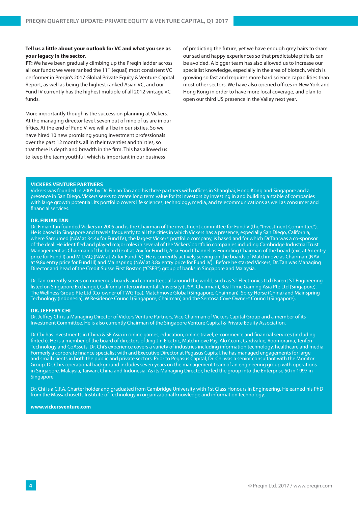#### **Tell us a little about your outlook for VC and what you see as your legacy in the sector.**

**FT:** We have been gradually climbing up the Preqin ladder across all our funds; we were ranked the 11<sup>th</sup> (equal) most consistent VC performer in Preqin's 2017 Global Private Equity & Venture Capital Report, as well as being the highest ranked Asian VC, and our Fund IV currently has the highest multiple of all 2012 vintage VC funds.

More importantly though is the succession planning at Vickers. At the managing director level, seven out of nine of us are in our fifties. At the end of Fund V, we will all be in our sixties. So we have hired 10 new promising young investment professionals over the past 12 months, all in their twenties and thirties, so that there is depth and breadth in the firm. This has allowed us to keep the team youthful, which is important in our business

of predicting the future, yet we have enough grey hairs to share our sad and happy experiences so that predictable pitfalls can be avoided. A bigger team has also allowed us to increase our specialist knowledge, especially in the area of biotech, which is growing so fast and requires more hard science capabilities than most other sectors. We have also opened offices in New York and Hong Kong in order to have more local coverage, and plan to open our third US presence in the Valley next year.

#### **VICKERS VENTURE PARTNERS**

Vickers was founded in 2005 by Dr. Finian Tan and his three partners with offices in Shanghai, Hong Kong and Singapore and a presence in San Diego. Vickers seeks to create long term value for its investors by investing in and building a stable of companies with large growth potential. Its portfolio covers life sciences, technology, media, and telecommunications as well as consumer and financial services.

#### **DR. FINIAN TAN**

Dr. Finian Tan founded Vickers in 2005 and is the Chairman of the investment committee for Fund V (the "Investment Committee"). He is based in Singapore and travels frequently to all the cities in which Vickers has a presence, especially San Diego, California, where Samumed (NAV at 34.4x for Fund IV), the largest Vickers' portfolio company, is based and for which Dr.Tan was a co-sponsor of the deal. He identified and played major roles in several of the Vickers' portfolio companies including Cambridge Industrial Trust Management as Chairman of the board (exit at 26x for Fund I), Asia Food Channel as Founding Chairman of the board (exit at 5x entry price for Fund I) and M-DAQ (NAV at 2x for Fund IV). He is currently actively serving on the boards of Matchmove as Chairman (NAV at 9.8x entry price for Fund III) and Mainspring (NAV at 3.8x entry price for Fund IV). Before he started Vickers, Dr. Tan was Managing Director and head of the Credit Suisse First Boston ("CSFB") group of banks in Singapore and Malaysia.

Dr. Tan currently serves on numerous boards and committees all around the world, such as ST Electronics Ltd (Parent ST Engineering listed on Singapore Exchange), California Intercontinental University (USA, Chairman), Real Time Gaming Asia Pte Ltd (Singapore), The Wellness Group Pte Ltd (Co-owner of TWG Tea), Matchmove Global (Singapore, Chairman), Spicy Horse (China) and Mainspring Technology (Indonesia), W Residence Council (Singapore, Chairman) and the Sentosa Cove Owners' Council (Singapore).

#### **DR. JEFFERY CHI**

Dr. Jeffrey Chi is a Managing Director of Vickers Venture Partners, Vice Chairman of Vickers Capital Group and a member of its Investment Committee. He is also currently Chairman of the Singapore Venture Capital & Private Equity Association.

Dr Chi has investments in China & SE Asia in online games, education, online travel, e-commerce and financial services (including fintech). He is a member of the board of directors of Jing Jin Electric, Matchmove Pay, Alo7.com, Cardvalue, Roomorama, Tenfen Technology and CoAssets. Dr. Chi's experience covers a variety of industries including information technology, healthcare and media. Formerly a corporate finance specialist with and Executive Director at Pegasus Capital, he has managed engagements for large and small clients in both the public and private sectors. Prior to Pegasus Capital, Dr. Chi was a senior consultant with the Monitor Group. Dr. Chi's operational background includes seven years on the management team of an engineering group with operations in Singapore, Malaysia, Taiwan, China and Indonesia. As its Managing Director, he led the group into the Enterprise 50 in 1997 in Singapore.

Dr. Chi is a C.F.A. Charter holder and graduated from Cambridge University with 1st Class Honours in Engineering. He earned his PhD from the Massachusetts Institute of Technology in organizational knowledge and information technology.

**www.vickersventure.com**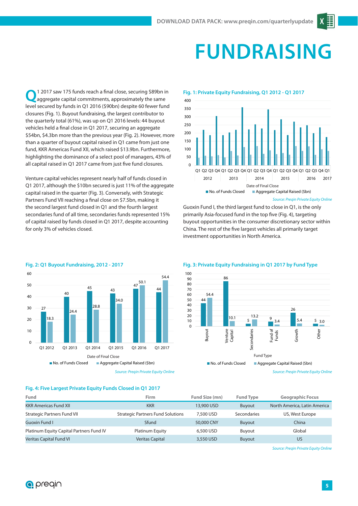# **FUNDRAISING**

1 2017 saw 175 funds reach a final close, securing \$89bn in aggregate capital commitments, approximately the same level secured by funds in Q1 2016 (\$90bn) despite 60 fewer fund closures (Fig. 1). Buyout fundraising, the largest contributor to the quarterly total (61%), was up on Q1 2016 levels: 44 buyout vehicles held a final close in Q1 2017, securing an aggregate \$54bn, \$4.3bn more than the previous year (Fig. 2). However, more than a quarter of buyout capital raised in Q1 came from just one fund, KKR Americas Fund XII, which raised \$13.9bn. Furthermore, highlighting the dominance of a select pool of managers, 43% of all capital raised in Q1 2017 came from just five fund closures.

Venture capital vehicles represent nearly half of funds closed in Q1 2017, although the \$10bn secured is just 11% of the aggregate capital raised in the quarter (Fig. 3). Conversely, with Strategic Partners Fund VII reaching a final close on \$7.5bn, making it the second largest fund closed in Q1 and the fourth largest secondaries fund of all time, secondaries funds represented 15% of capital raised by funds closed in Q1 2017, despite accounting for only 3% of vehicles closed.



#### **Fig. 1: Private Equity Fundraising, Q1 2012 - Q1 2017**

 $400$ 



#### Source: Preqin Private Equity Online

Guoxin Fund I, the third largest fund to close in Q1, is the only primarily Asia-focused fund in the top five (Fig. 4), targeting buyout opportunities in the consumer discretionary sector within China. The rest of the five largest vehicles all primarily target investment opportunities in North America.



#### **Fig. 2: Q1 Buyout Fundraising, 2012 - 2017**

Source: Preqin Private Equity Online

#### **Fig. 3: Private Equity Fundraising in Q1 2017 by Fund Type**



Source: Preqin Private Equity Online

### **Fig. 4: Five Largest Private Equity Funds Closed in Q1 2017**

| Fund                                     | <b>Firm</b>                              | Fund Size (mn) | <b>Fund Type</b> | <b>Geographic Focus</b>      |
|------------------------------------------|------------------------------------------|----------------|------------------|------------------------------|
| <b>KKR Americas Fund XII</b>             | <b>KKR</b>                               | 13,900 USD     | <b>Buyout</b>    | North America, Latin America |
| <b>Strategic Partners Fund VII</b>       | <b>Strategic Partners Fund Solutions</b> | 7,500 USD      | Secondaries      | US, West Europe              |
| Guoxin Fund L                            | Sfund                                    | 50,000 CNY     | <b>Buyout</b>    | China                        |
| Platinum Equity Capital Partners Fund IV | Platinum Equity                          | 6,500 USD      | Buvout           | Global                       |
| <b>Veritas Capital Fund VI</b>           | <b>Veritas Capital</b>                   | 3,550 USD      | <b>Buyout</b>    | US                           |

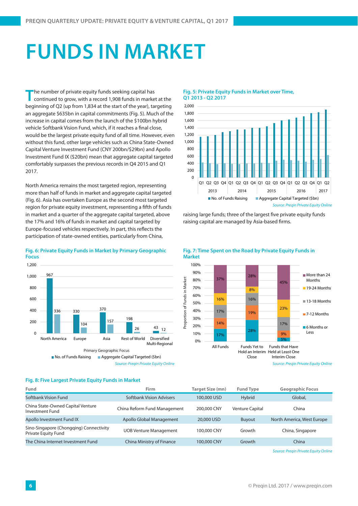# **FUNDS IN MARKET**

The number of private equity funds seeking capital has continued to grow, with a record 1,908 funds in market at the beginning of Q2 (up from 1,834 at the start of the year), targeting an aggregate \$635bn in capital commitments (Fig. 5). Much of the increase in capital comes from the launch of the \$100bn hybrid vehicle Softbank Vision Fund, which, if it reaches a final close, would be the largest private equity fund of all time. However, even without this fund, other large vehicles such as China State-Owned Capital Venture Investment Fund (CNY 200bn/\$29bn) and Apollo Investment Fund IX (\$20bn) mean that aggregate capital targeted comfortably surpasses the previous records in Q4 2015 and Q1 2017.

North America remains the most targeted region, representing more than half of funds in market and aggregate capital targeted (Fig. 6). Asia has overtaken Europe as the second most targeted region for private equity investment, representing a fifth of funds in market and a quarter of the aggregate capital targeted, above the 17% and 16% of funds in market and capital targeted by Europe-focused vehicles respectively. In part, this reflects the participation of state-owned entities, particularly from China,

#### **Fig. 5: Private Equity Funds in Market over Time, Q1 2013 - Q2 2017**



raising large funds; three of the largest five private equity funds raising capital are managed by Asia-based firms.

**Fig. 7: Time Spent on the Road by Private Equity Funds in** 



#### **Fig. 6: Private Equity Funds in Market by Primary Geographic Focus**



### **Fig. 8: Five Largest Private Equity Funds in Market**

| Fund                                                           | Firm                          | Target Size (mn) | <b>Fund Type</b>       | <b>Geographic Focus</b>    |
|----------------------------------------------------------------|-------------------------------|------------------|------------------------|----------------------------|
| Softbank Vision Fund                                           | Softbank Vision Advisers      | 100,000 USD      | <b>Hybrid</b>          | Global,                    |
| China State-Owned Capital Venture<br>Investment Fund           | China Reform Fund Management  | 200,000 CNY      | <b>Venture Capital</b> | China                      |
| Apollo Investment Fund IX                                      | Apollo Global Management      | 20,000 USD       | <b>Buyout</b>          | North America, West Europe |
| Sino-Singapore (Chongqing) Connectivity<br>Private Equity Fund | <b>UOB Venture Management</b> | 100,000 CNY      | Growth                 | China, Singapore           |
| The China Internet Investment Fund                             | China Ministry of Finance     | 100,000 CNY      | Growth                 | China                      |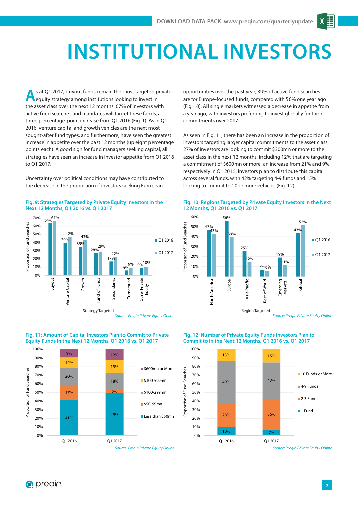# **INSTITUTIONAL INVESTORS**

**A**s at Q1 2017, buyout funds remain the most targeted private equity strategy among institutions looking to invest in the asset class over the next 12 months: 67% of investors with active fund searches and mandates will target these funds, a three-percentage-point increase from Q1 2016 (Fig. 1). As in Q1 2016, venture capital and growth vehicles are the next most sought-after fund types, and furthermore, have seen the greatest increase in appetite over the past 12 months (up eight percentage points each). A good sign for fund managers seeking capital, all strategies have seen an increase in investor appetite from Q1 2016 to Q1 2017.

Uncertainty over political conditions may have contributed to the decrease in the proportion of investors seeking European



#### **Fig. 9: Strategies Targeted by Private Equity Investors in the Next 12 Months, Q1 2016 vs. Q1 2017**

opportunities over the past year; 39% of active fund searches are for Europe-focused funds, compared with 56% one year ago (Fig. 10). All single markets witnessed a decrease in appetite from a year ago, with investors preferring to invest globally for their commitments over 2017.

As seen in Fig. 11, there has been an increase in the proportion of investors targeting larger capital commitments to the asset class: 27% of investors are looking to commit \$300mn or more to the asset class in the next 12 months, including 12% that are targeting a commitment of \$600mn or more, an increase from 21% and 9% respectively in Q1 2016. Investors plan to distribute this capital across several funds, with 42% targeting 4-9 funds and 15% looking to commit to 10 or more vehicles (Fig. 12).





Source: Pregin Private Equity Online



#### **Fig. 11: Amount of Capital Investors Plan to Commit to Private Equity Funds in the Next 12 Months, Q1 2016 vs. Q1 2017**

#### **Fig. 12: Number of Private Equity Funds Investors Plan to Commit to in the Next 12 Months, Q1 2016 vs. Q1 2017**



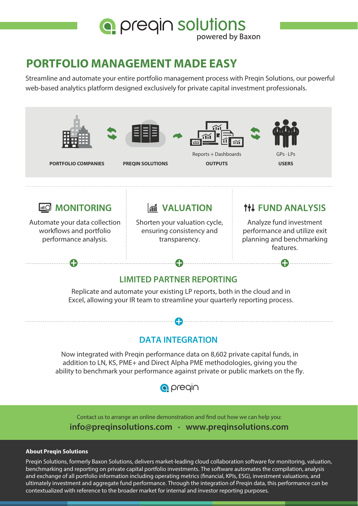

### **PORTFOLIO MANAGEMENT MADE EASY**

Streamline and automate your entire portfolio management process with Preqin Solutions, our powerful web-based analytics platform designed exclusively for private capital investment professionals.



### **DATA INTEGRATION**

Now integrated with Preqin performance data on 8,602 private capital funds, in addition to LN, KS, PME+ and Direct Alpha PME methodologies, giving you the ability to benchmark your performance against private or public markets on the fly.



Contact us to arrange an online demonstration and find out how we can help you: **info@preqinsolutions.com · www.preqinsolutions.com**

#### **About Pregin Solutions**

Preqin Solutions, formerly Baxon Solutions, delivers market-leading cloud collaboration software for monitoring, valuation, benchmarking and reporting on private capital portfolio investments. The software automates the compilation, analysis and exchange of all portfolio information including operating metrics (financial, KPIs, ESG), investment valuations, and ultimately investment and aggregate fund performance. Through the integration of Preqin data, this performance can be contextualized with reference to the broader market for internal and investor reporting purposes.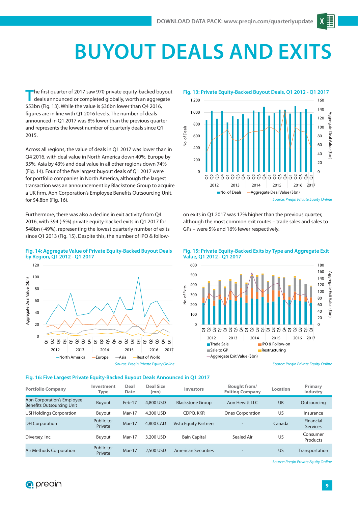# **BUYOUT DEALS AND EXI**

The first quarter of 2017 saw 970 private equity-backed buyout deals announced or completed globally, worth an aggregate \$53bn (Fig. 13). While the value is \$36bn lower than Q4 2016, figures are in line with Q1 2016 levels. The number of deals announced in Q1 2017 was 8% lower than the previous quarter and represents the lowest number of quarterly deals since Q1 2015.

Across all regions, the value of deals in Q1 2017 was lower than in Q4 2016, with deal value in North America down 40%, Europe by 35%, Asia by 43% and deal value in all other regions down 74% (Fig. 14). Four of the five largest buyout deals of Q1 2017 were for portfolio companies in North America, although the largest transaction was an announcement by Blackstone Group to acquire a UK firm, Aon Corporation's Employee Benefits Outsourcing Unit, for \$4.8bn (Fig. 16).

Furthermore, there was also a decline in exit activity from Q4 2016, with 394 (-5%) private equity-backed exits in Q1 2017 for \$48bn (-49%), representing the lowest quarterly number of exits since Q1 2013 (Fig. 15). Despite this, the number of IPO & follow-



on exits in Q1 2017 was 17% higher than the previous quarter, although the most common exit routes – trade sales and sales to GPs – were 5% and 16% fewer respectively.



#### **Fig. 14: Aggregate Value of Private Equity-Backed Buyout Deals by Region, Q1 2012 - Q1 2017**

#### 180 600 **Fig. 15: Private Equity-Backed Exits by Type and Aggregate Exit Value, Q1 2012 - Q1 2017**



Source: Preqin Private Equity Online

#### **Fig. 16: Five Largest Private Equity-Backed Buyout Deals Announced in Q1 2017**

Source: Preqin Private Equity Online

| <b>Portfolio Company</b>                                       | Investment<br>Type    | Deal<br>Date | <b>Deal Size</b><br>(mn) | <b>Investors</b>             | <b>Bought from/</b><br><b>Exiting Company</b> | <b>Location</b> | Primary<br><b>Industry</b>   |
|----------------------------------------------------------------|-----------------------|--------------|--------------------------|------------------------------|-----------------------------------------------|-----------------|------------------------------|
| Aon Corporation's Employee<br><b>Benefits Outsourcing Unit</b> | Buyout                | Feb-17       | 4.800 USD                | <b>Blackstone Group</b>      | Aon Hewitt LLC                                | UK              | Outsourcing                  |
| USI Holdings Corporation                                       | Buyout                | Mar-17       | 4,300 USD                | CDPO, KKR                    | <b>Onex Corporation</b>                       | US              | Insurance                    |
| <b>DH Corporation</b>                                          | Public-to-<br>Private | $Mar-17$     | 4.800 CAD                | <b>Vista Equity Partners</b> | $\overline{\phantom{0}}$                      | Canada          | Financial<br><b>Services</b> |
| Diversey, Inc.                                                 | Buyout                | Mar-17       | 3,200 USD                | <b>Bain Capital</b>          | Sealed Air                                    | US              | Consumer<br>Products         |
| Air Methods Corporation                                        | Public-to-<br>Private | $Mar-17$     | 2,500 USD                | <b>American Securities</b>   | $\qquad \qquad$                               | US              | Transportation               |

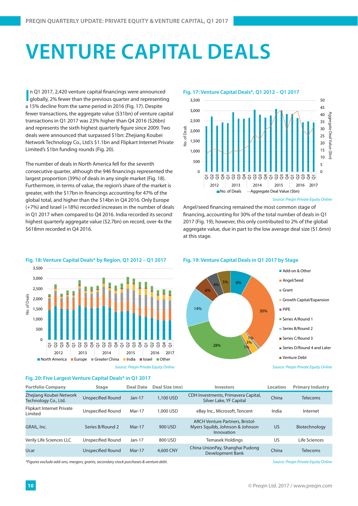## **VENTURE CAPITAL DEALS**

**I** n Q1 2017, 2,420 venture capital financings were announced globally, 2% fewer than the previous quarter and representing In Q1 2017, 2,420 venture capital financings were announced a 15% decline from the same period in 2016 (Fig. 17). Despite fewer transactions, the aggregate value (\$31bn) of venture capital transactions in Q1 2017 was 23% higher than Q4 2016 (\$26bn) and represents the sixth highest quarterly figure since 2009. Two deals were announced that surpassed \$1bn: Zhejiang Koubei Network Technology Co., Ltd.'s \$1.1bn and Flipkart Internet Private Limited's \$1bn funding rounds (Fig. 20).

The number of deals in North America fell for the seventh consecutive quarter, although the 946 financings represented the largest proportion (39%) of deals in any single market (Fig. 18). Furthermore, in terms of value, the region's share of the market is greater, with the \$17bn in financings accounting for 47% of the global total, and higher than the \$14bn in Q4 2016. Only Europe (+7%) and Israel (+18%) recorded increases in the number of deals in Q1 2017 when compared to Q4 2016. India recorded its second highest quarterly aggregate value (\$2.7bn) on record, over 4x the \$618mn recorded in Q4 2016.



Source: Pregin Private Equity Online

Angel/seed financing remained the most common stage of financing, accounting for 30% of the total number of deals in Q1 2017 (Fig. 19); however, this only contributed to 2% of the global aggregate value, due in part to the low average deal size (\$1.6mn) at this stage.



#### **Fig. 18: Venture Capital Deals\* by Region, Q1 2012 – Q1 2017**

**Fig. 20: Five Largest Venture Capital Deals\* in Q1 2017**

**Fig. 19: Venture Capital Deals in Q1 2017 by Stage**



Source: Preqin Private Equity Online

| <b>Portfolio Company</b>                        | <b>Stage</b>             | <b>Deal Date</b> | Deal Size (mn) | <b>Investors</b>                                                                        | Location | <b>Primary Industry</b> |
|-------------------------------------------------|--------------------------|------------------|----------------|-----------------------------------------------------------------------------------------|----------|-------------------------|
| Zhejiang Koubei Network<br>Technology Co., Ltd. | Unspecified Round        | $Jan-17$         | 1,100 USD      | CDH Investments, Primavera Capital,<br>Silver Lake, YF Capital                          | China    | <b>Telecoms</b>         |
| Flipkart Internet Private<br>Limited            | Unspecified Round        | Mar-17           | 1.000 USD      | eBay Inc., Microsoft, Tencent                                                           | India    | Internet                |
| GRAIL, Inc.                                     | Series B/Round 2         | $Mar-17$         | 900 USD        | <b>ARCH Venture Partners, Bristol-</b><br>Myers Squibb, Johnson & Johnson<br>Innovation | US       | Biotechnology           |
| Verily Life Sciences LLC                        | Unspecified Round        | $Jan-17$         | 800 USD        | Temasek Holdings                                                                        | US       | Life Sciences           |
| <b>Ucar</b>                                     | <b>Unspecified Round</b> | $Mar-17$         | 4,600 CNY      | China UnionPay, Shanghai Pudong<br>Development Bank                                     | China    | <b>Telecoms</b>         |

\*Figures exclude add-ons, mergers, grants, secondary stock purchases & venture debt. Source: Preqin Private Equity Online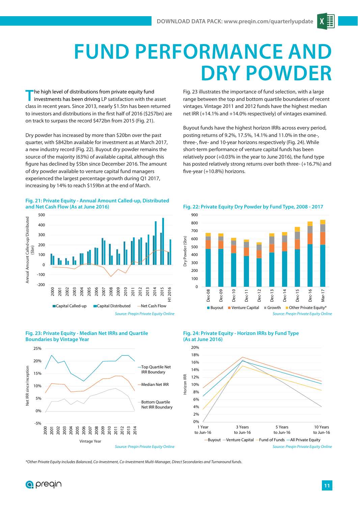## **FUND PERFORMANCE AN DRY POWDER**

**T**he high level of distributions from private equity fund investments has been driving LP satisfaction with the asset class in recent years. Since 2013, nearly \$1.5tn has been returned to investors and distributions in the first half of 2016 (\$257bn) are on track to surpass the record \$472bn from 2015 (Fig. 21).

Dry powder has increased by more than \$20bn over the past quarter, with \$842bn available for investment as at March 2017, a new industry record (Fig. 22). Buyout dry powder remains the source of the majority (63%) of available capital, although this figure has declined by \$5bn since December 2016. The amount of dry powder available to venture capital fund managers experienced the largest percentage growth during Q1 2017, increasing by 14% to reach \$159bn at the end of March.

#### **Fig. 21: Private Equity - Annual Amount Called-up, Distributed and Net Cash Flow (As at June 2016)**



**Fig. 23: Private Equity - Median Net IRRs and Quartile Boundaries by Vintage Year**



Fig. 23 illustrates the importance of fund selection, with a large range between the top and bottom quartile boundaries of recent vintages. Vintage 2011 and 2012 funds have the highest median net IRR (+14.1% and +14.0% respectively) of vintages examined.

Buyout funds have the highest horizon IRRs across every period, posting returns of 9.2%, 17.5%, 14.1% and 11.0% in the one-, three-, five- and 10-year horizons respectively (Fig. 24). While short-term performance of venture capital funds has been relatively poor (+0.03% in the year to June 2016), the fund type has posted relatively strong returns over both three- (+16.7%) and five-year (+10.8%) horizons.







\*Other Private Equity includes Balanced, Co-Investment, Co-Investment Multi-Manager, Direct Secondaries and Turnaround funds.